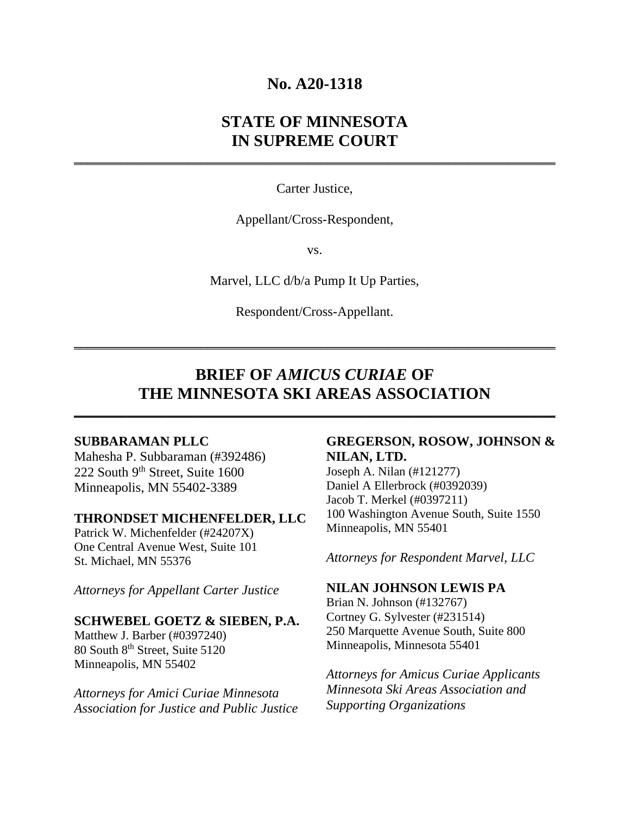## **No. A20-1318**

# **STATE OF MINNESOTA IN SUPREME COURT**

Carter Justice,

**\_\_\_\_\_\_\_\_\_\_\_\_\_\_\_\_\_\_\_\_\_\_\_\_\_\_\_\_\_\_\_\_\_\_\_\_\_\_\_\_\_\_\_\_\_\_\_\_\_\_\_\_\_\_\_\_\_\_\_\_\_\_\_\_\_\_\_\_\_\_\_\_** 

Appellant/Cross-Respondent,

vs.

Marvel, LLC d/b/a Pump It Up Parties,

Respondent/Cross-Appellant.

**\_\_\_\_\_\_\_\_\_\_\_\_\_\_\_\_\_\_\_\_\_\_\_\_\_\_\_\_\_\_\_\_\_\_\_\_\_\_\_\_\_\_\_\_\_\_\_\_\_\_\_\_\_\_\_\_\_\_\_\_\_\_\_\_\_\_\_\_\_\_\_\_** 

# **BRIEF OF** *AMICUS CURIAE* **OF THE MINNESOTA SKI AREAS ASSOCIATION**

**\_\_\_\_\_\_\_\_\_\_\_\_\_\_\_\_\_\_\_\_\_\_\_\_\_\_\_\_\_\_\_\_\_\_\_\_\_\_\_\_\_\_\_\_\_\_\_\_\_\_\_\_\_\_\_\_\_\_\_\_\_\_\_\_\_\_\_\_\_\_\_\_** 

### **SUBBARAMAN PLLC**

Mahesha P. Subbaraman (#392486) 222 South 9<sup>th</sup> Street, Suite 1600 Minneapolis, MN 55402-3389

#### **THRONDSET MICHENFELDER, LLC**

Patrick W. Michenfelder (#24207X) One Central Avenue West, Suite 101 St. Michael, MN 55376

*Attorneys for Appellant Carter Justice* 

#### **SCHWEBEL GOETZ & SIEBEN, P.A.**

Matthew J. Barber (#0397240) 80 South 8<sup>th</sup> Street, Suite 5120 Minneapolis, MN 55402

*Attorneys for Amici Curiae Minnesota Association for Justice and Public Justice*

## **GREGERSON, ROSOW, JOHNSON & NILAN, LTD.**

Joseph A. Nilan (#121277) Daniel A Ellerbrock (#0392039) Jacob T. Merkel (#0397211) 100 Washington Avenue South, Suite 1550 Minneapolis, MN 55401

*Attorneys for Respondent Marvel, LLC* 

## **NILAN JOHNSON LEWIS PA**

Brian N. Johnson (#132767) Cortney G. Sylvester (#231514) 250 Marquette Avenue South, Suite 800 Minneapolis, Minnesota 55401

*Attorneys for Amicus Curiae Applicants Minnesota Ski Areas Association and Supporting Organizations*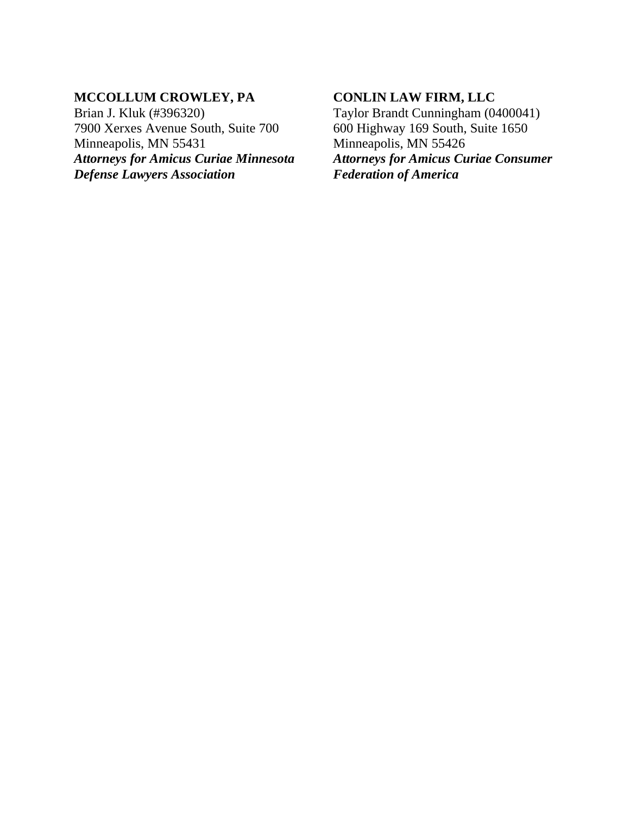## **MCCOLLUM CROWLEY, PA**

Brian J. Kluk (#396320) 7900 Xerxes Avenue South, Suite 700 Minneapolis, MN 55431 *Attorneys for Amicus Curiae Minnesota Defense Lawyers Association*

## **CONLIN LAW FIRM, LLC**

Taylor Brandt Cunningham (0400041) 600 Highway 169 South, Suite 1650 Minneapolis, MN 55426 *Attorneys for Amicus Curiae Consumer Federation of America*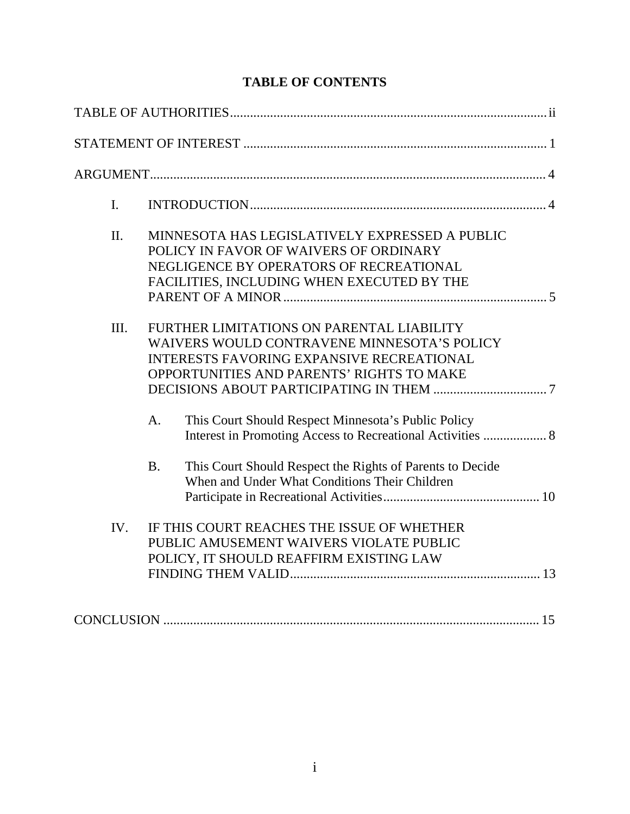# **TABLE OF CONTENTS**

| I.  |                                                                                                                                                                                           |
|-----|-------------------------------------------------------------------------------------------------------------------------------------------------------------------------------------------|
| II. | MINNESOTA HAS LEGISLATIVELY EXPRESSED A PUBLIC<br>POLICY IN FAVOR OF WAIVERS OF ORDINARY<br>NEGLIGENCE BY OPERATORS OF RECREATIONAL<br>FACILITIES, INCLUDING WHEN EXECUTED BY THE         |
| Ш.  | FURTHER LIMITATIONS ON PARENTAL LIABILITY<br>WAIVERS WOULD CONTRAVENE MINNESOTA'S POLICY<br><b>INTERESTS FAVORING EXPANSIVE RECREATIONAL</b><br>OPPORTUNITIES AND PARENTS' RIGHTS TO MAKE |
|     | This Court Should Respect Minnesota's Public Policy<br>A.<br>Interest in Promoting Access to Recreational Activities  8                                                                   |
|     | This Court Should Respect the Rights of Parents to Decide<br><b>B.</b><br>When and Under What Conditions Their Children                                                                   |
| IV. | IF THIS COURT REACHES THE ISSUE OF WHETHER<br>PUBLIC AMUSEMENT WAIVERS VIOLATE PUBLIC<br>POLICY, IT SHOULD REAFFIRM EXISTING LAW                                                          |
|     |                                                                                                                                                                                           |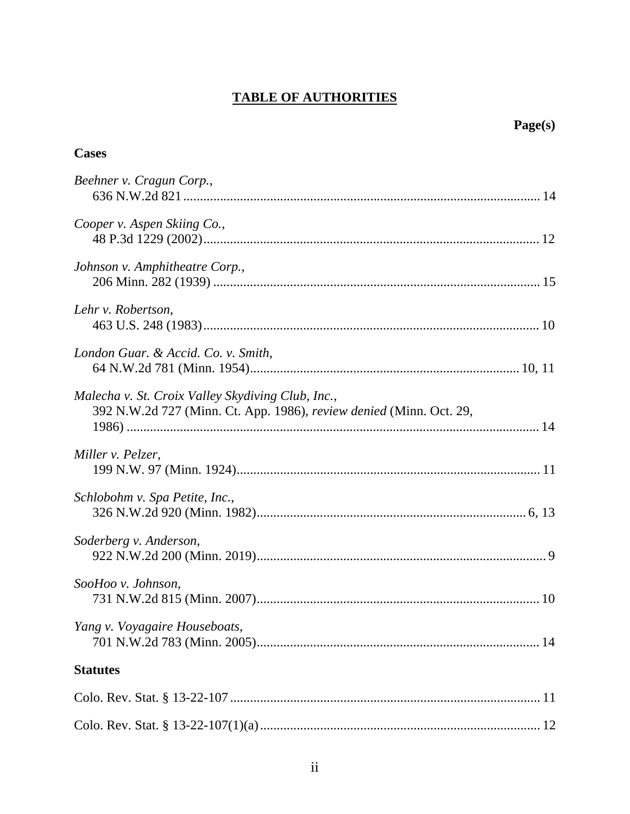# **TABLE OF AUTHORITIES**

# Page(s)

| <b>Cases</b>                                                                                                             |
|--------------------------------------------------------------------------------------------------------------------------|
| Beehner v. Cragun Corp.,                                                                                                 |
| Cooper v. Aspen Skiing Co.,                                                                                              |
| Johnson v. Amphitheatre Corp.,                                                                                           |
| Lehr v. Robertson,                                                                                                       |
| London Guar. & Accid. Co. v. Smith,                                                                                      |
| Malecha v. St. Croix Valley Skydiving Club, Inc.,<br>392 N.W.2d 727 (Minn. Ct. App. 1986), review denied (Minn. Oct. 29, |
| Miller v. Pelzer,                                                                                                        |
| Schlobohm v. Spa Petite, Inc.,                                                                                           |
| Soderberg v. Anderson,                                                                                                   |
| SooHoo v. Johnson,                                                                                                       |
| Yang v. Voyagaire Houseboats,                                                                                            |
| <b>Statutes</b>                                                                                                          |
|                                                                                                                          |
|                                                                                                                          |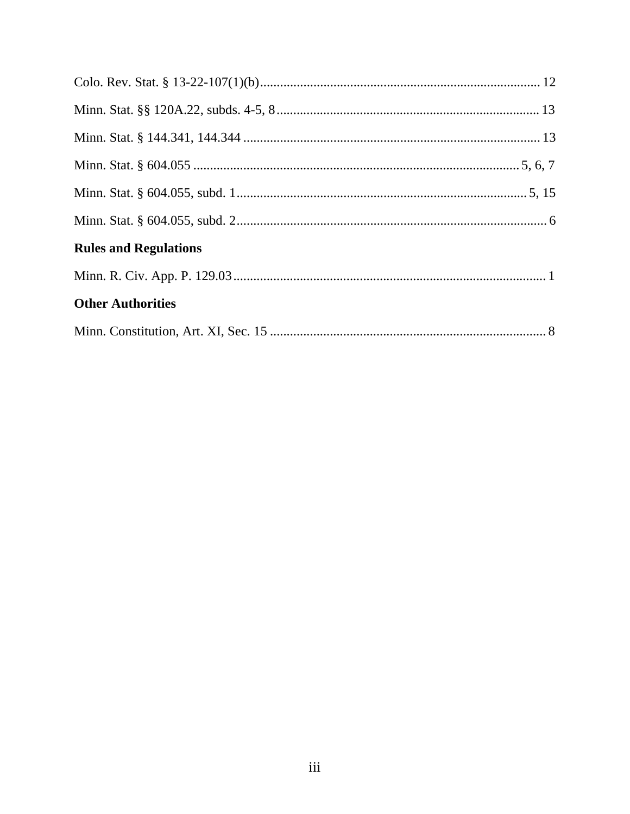| <b>Rules and Regulations</b> |  |
|------------------------------|--|
|                              |  |
| <b>Other Authorities</b>     |  |
|                              |  |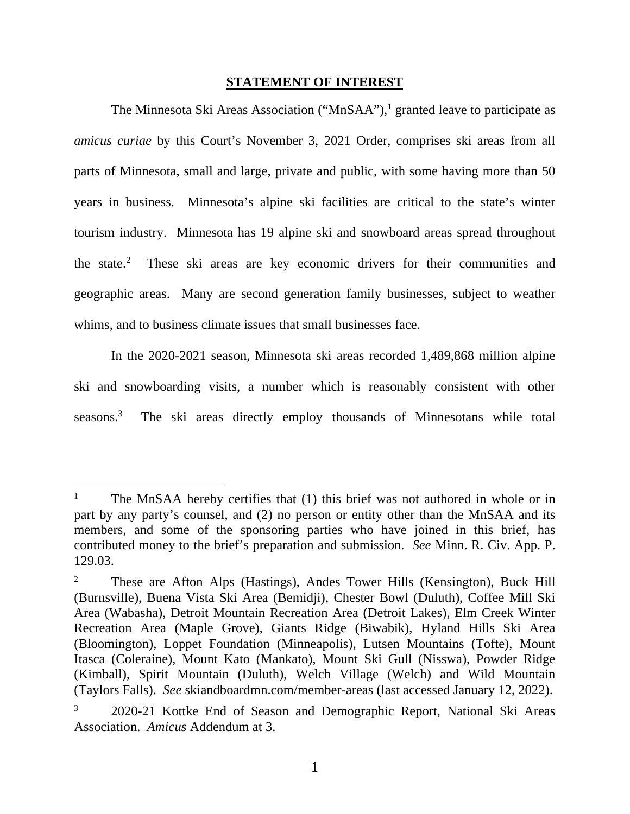### **STATEMENT OF INTEREST**

The Minnesota Ski Areas Association ("MnSAA"),<sup>1</sup> granted leave to participate as *amicus curiae* by this Court's November 3, 2021 Order, comprises ski areas from all parts of Minnesota, small and large, private and public, with some having more than 50 years in business. Minnesota's alpine ski facilities are critical to the state's winter tourism industry. Minnesota has 19 alpine ski and snowboard areas spread throughout the state. $2$  These ski areas are key economic drivers for their communities and geographic areas. Many are second generation family businesses, subject to weather whims, and to business climate issues that small businesses face.

In the 2020-2021 season, Minnesota ski areas recorded 1,489,868 million alpine ski and snowboarding visits, a number which is reasonably consistent with other seasons.<sup>3</sup> The ski areas directly employ thousands of Minnesotans while total

<sup>&</sup>lt;sup>1</sup> The MnSAA hereby certifies that (1) this brief was not authored in whole or in part by any party's counsel, and (2) no person or entity other than the MnSAA and its members, and some of the sponsoring parties who have joined in this brief, has contributed money to the brief's preparation and submission. *See* Minn. R. Civ. App. P. 129.03.

<sup>2</sup> These are Afton Alps (Hastings), Andes Tower Hills (Kensington), Buck Hill (Burnsville), Buena Vista Ski Area (Bemidji), Chester Bowl (Duluth), Coffee Mill Ski Area (Wabasha), Detroit Mountain Recreation Area (Detroit Lakes), Elm Creek Winter Recreation Area (Maple Grove), Giants Ridge (Biwabik), Hyland Hills Ski Area (Bloomington), Loppet Foundation (Minneapolis), Lutsen Mountains (Tofte), Mount Itasca (Coleraine), Mount Kato (Mankato), Mount Ski Gull (Nisswa), Powder Ridge (Kimball), Spirit Mountain (Duluth), Welch Village (Welch) and Wild Mountain (Taylors Falls). *See* skiandboardmn.com/member-areas (last accessed January 12, 2022).

<sup>3</sup> 2020-21 Kottke End of Season and Demographic Report, National Ski Areas Association. *Amicus* Addendum at 3.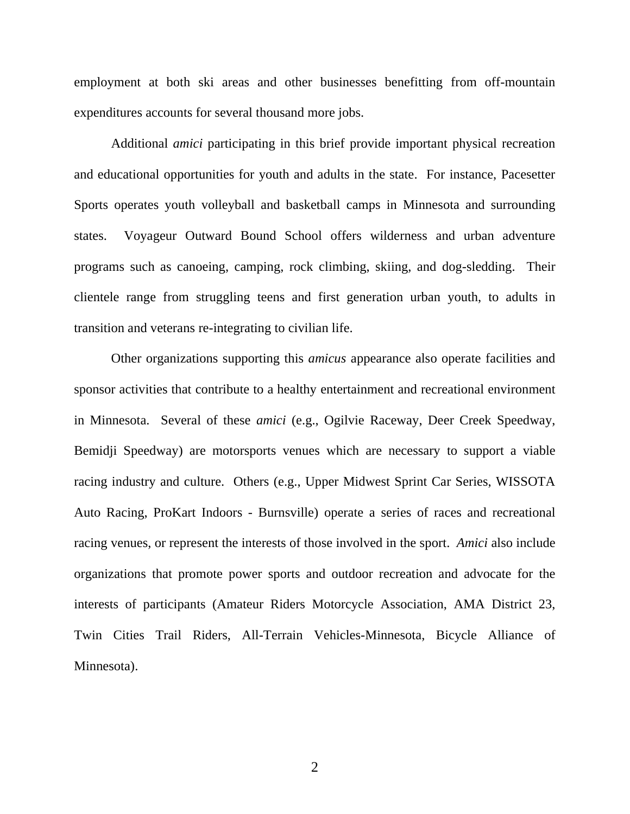employment at both ski areas and other businesses benefitting from off-mountain expenditures accounts for several thousand more jobs.

Additional *amici* participating in this brief provide important physical recreation and educational opportunities for youth and adults in the state. For instance, Pacesetter Sports operates youth volleyball and basketball camps in Minnesota and surrounding states. Voyageur Outward Bound School offers wilderness and urban adventure programs such as canoeing, camping, rock climbing, skiing, and dog-sledding. Their clientele range from struggling teens and first generation urban youth, to adults in transition and veterans re-integrating to civilian life.

Other organizations supporting this *amicus* appearance also operate facilities and sponsor activities that contribute to a healthy entertainment and recreational environment in Minnesota. Several of these *amici* (e.g., Ogilvie Raceway, Deer Creek Speedway, Bemidji Speedway) are motorsports venues which are necessary to support a viable racing industry and culture. Others (e.g., Upper Midwest Sprint Car Series, WISSOTA Auto Racing, ProKart Indoors - Burnsville) operate a series of races and recreational racing venues, or represent the interests of those involved in the sport. *Amici* also include organizations that promote power sports and outdoor recreation and advocate for the interests of participants (Amateur Riders Motorcycle Association, AMA District 23, Twin Cities Trail Riders, All-Terrain Vehicles-Minnesota, Bicycle Alliance of Minnesota).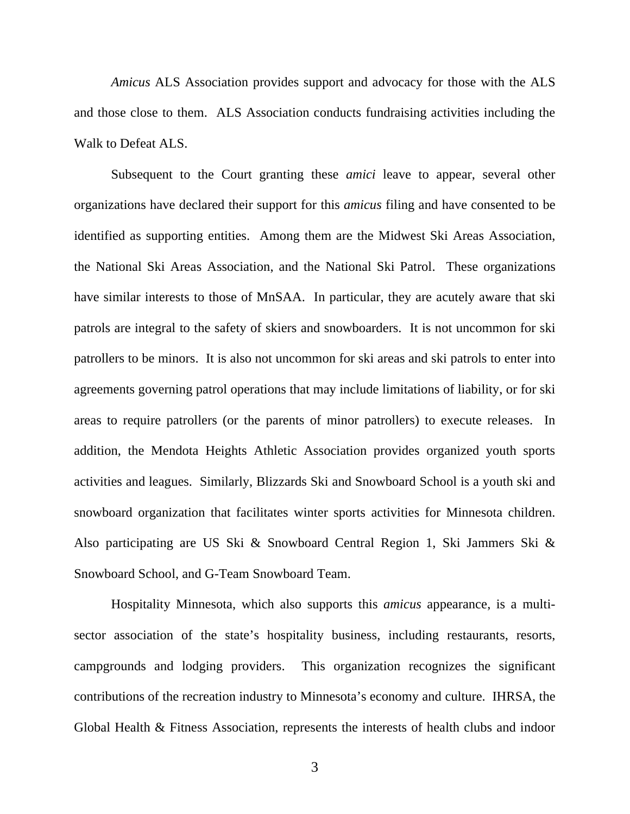*Amicus* ALS Association provides support and advocacy for those with the ALS and those close to them. ALS Association conducts fundraising activities including the Walk to Defeat ALS.

Subsequent to the Court granting these *amici* leave to appear, several other organizations have declared their support for this *amicus* filing and have consented to be identified as supporting entities. Among them are the Midwest Ski Areas Association, the National Ski Areas Association, and the National Ski Patrol. These organizations have similar interests to those of MnSAA. In particular, they are acutely aware that ski patrols are integral to the safety of skiers and snowboarders. It is not uncommon for ski patrollers to be minors. It is also not uncommon for ski areas and ski patrols to enter into agreements governing patrol operations that may include limitations of liability, or for ski areas to require patrollers (or the parents of minor patrollers) to execute releases. In addition, the Mendota Heights Athletic Association provides organized youth sports activities and leagues. Similarly, Blizzards Ski and Snowboard School is a youth ski and snowboard organization that facilitates winter sports activities for Minnesota children. Also participating are US Ski & Snowboard Central Region 1, Ski Jammers Ski & Snowboard School, and G-Team Snowboard Team.

Hospitality Minnesota, which also supports this *amicus* appearance, is a multisector association of the state's hospitality business, including restaurants, resorts, campgrounds and lodging providers. This organization recognizes the significant contributions of the recreation industry to Minnesota's economy and culture. IHRSA, the Global Health & Fitness Association, represents the interests of health clubs and indoor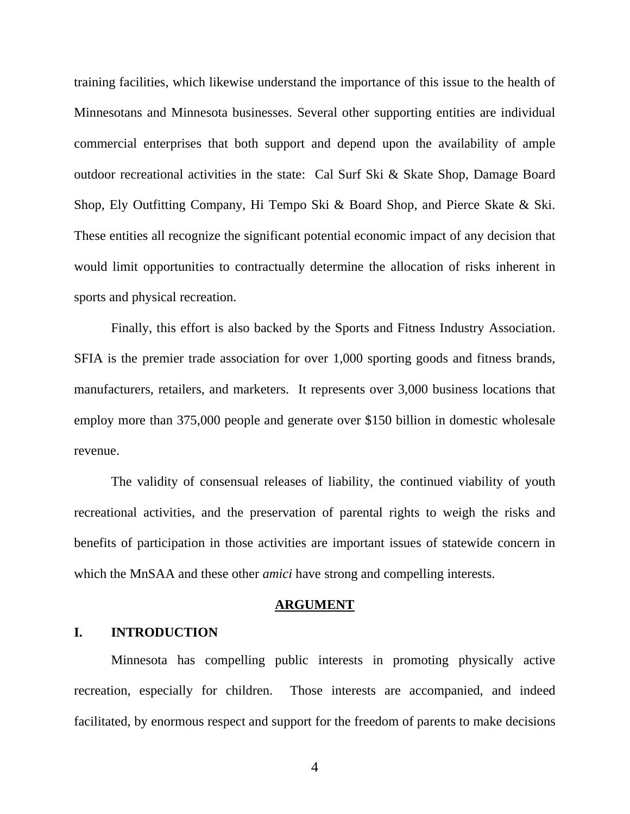training facilities, which likewise understand the importance of this issue to the health of Minnesotans and Minnesota businesses. Several other supporting entities are individual commercial enterprises that both support and depend upon the availability of ample outdoor recreational activities in the state: Cal Surf Ski & Skate Shop, Damage Board Shop, Ely Outfitting Company, Hi Tempo Ski & Board Shop, and Pierce Skate & Ski. These entities all recognize the significant potential economic impact of any decision that would limit opportunities to contractually determine the allocation of risks inherent in sports and physical recreation.

Finally, this effort is also backed by the Sports and Fitness Industry Association. SFIA is the premier trade association for over 1,000 sporting goods and fitness brands, manufacturers, retailers, and marketers. It represents over 3,000 business locations that employ more than 375,000 people and generate over \$150 billion in domestic wholesale revenue.

The validity of consensual releases of liability, the continued viability of youth recreational activities, and the preservation of parental rights to weigh the risks and benefits of participation in those activities are important issues of statewide concern in which the MnSAA and these other *amici* have strong and compelling interests.

### **ARGUMENT**

### **I. INTRODUCTION**

Minnesota has compelling public interests in promoting physically active recreation, especially for children. Those interests are accompanied, and indeed facilitated, by enormous respect and support for the freedom of parents to make decisions

4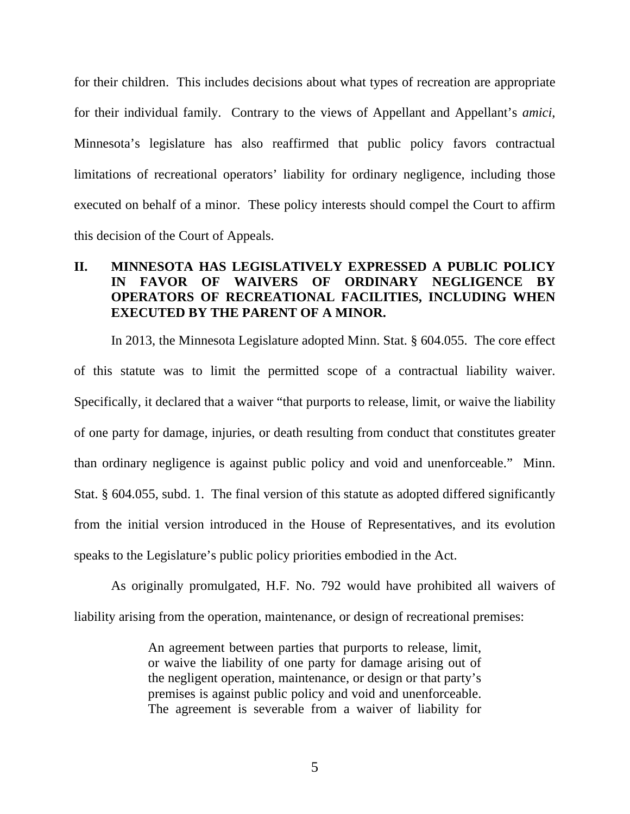for their children. This includes decisions about what types of recreation are appropriate for their individual family. Contrary to the views of Appellant and Appellant's *amici*, Minnesota's legislature has also reaffirmed that public policy favors contractual limitations of recreational operators' liability for ordinary negligence, including those executed on behalf of a minor. These policy interests should compel the Court to affirm this decision of the Court of Appeals.

## **II. MINNESOTA HAS LEGISLATIVELY EXPRESSED A PUBLIC POLICY IN FAVOR OF WAIVERS OF ORDINARY NEGLIGENCE BY OPERATORS OF RECREATIONAL FACILITIES, INCLUDING WHEN EXECUTED BY THE PARENT OF A MINOR.**

In 2013, the Minnesota Legislature adopted Minn. Stat. § 604.055. The core effect of this statute was to limit the permitted scope of a contractual liability waiver. Specifically, it declared that a waiver "that purports to release, limit, or waive the liability of one party for damage, injuries, or death resulting from conduct that constitutes greater than ordinary negligence is against public policy and void and unenforceable." Minn. Stat. § 604.055, subd. 1. The final version of this statute as adopted differed significantly from the initial version introduced in the House of Representatives, and its evolution speaks to the Legislature's public policy priorities embodied in the Act.

As originally promulgated, H.F. No. 792 would have prohibited all waivers of liability arising from the operation, maintenance, or design of recreational premises:

> An agreement between parties that purports to release, limit, or waive the liability of one party for damage arising out of the negligent operation, maintenance, or design or that party's premises is against public policy and void and unenforceable. The agreement is severable from a waiver of liability for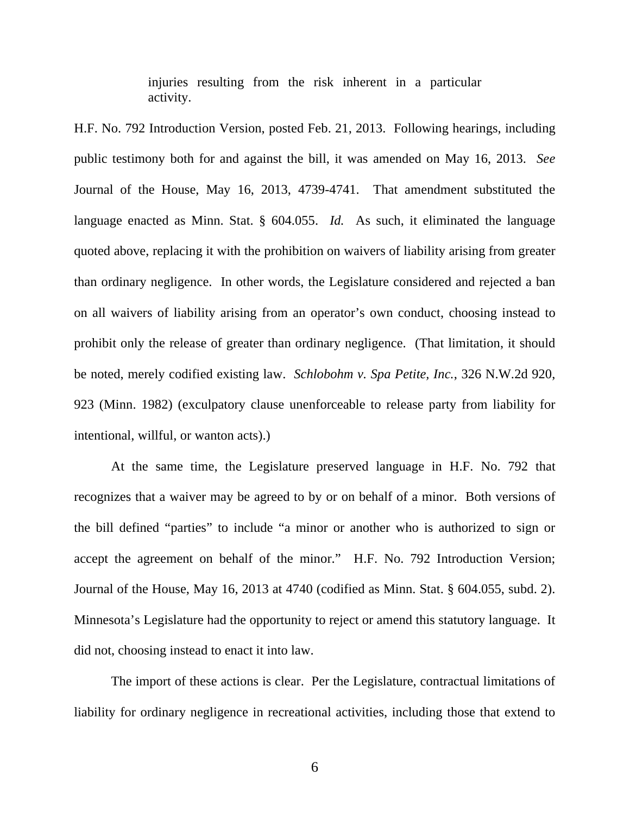injuries resulting from the risk inherent in a particular activity.

H.F. No. 792 Introduction Version, posted Feb. 21, 2013. Following hearings, including public testimony both for and against the bill, it was amended on May 16, 2013. *See* Journal of the House, May 16, 2013, 4739-4741. That amendment substituted the language enacted as Minn. Stat. § 604.055. *Id.* As such, it eliminated the language quoted above, replacing it with the prohibition on waivers of liability arising from greater than ordinary negligence. In other words, the Legislature considered and rejected a ban on all waivers of liability arising from an operator's own conduct, choosing instead to prohibit only the release of greater than ordinary negligence. (That limitation, it should be noted, merely codified existing law. *Schlobohm v. Spa Petite, Inc.*, 326 N.W.2d 920, 923 (Minn. 1982) (exculpatory clause unenforceable to release party from liability for intentional, willful, or wanton acts).)

At the same time, the Legislature preserved language in H.F. No. 792 that recognizes that a waiver may be agreed to by or on behalf of a minor. Both versions of the bill defined "parties" to include "a minor or another who is authorized to sign or accept the agreement on behalf of the minor." H.F. No. 792 Introduction Version; Journal of the House, May 16, 2013 at 4740 (codified as Minn. Stat. § 604.055, subd. 2). Minnesota's Legislature had the opportunity to reject or amend this statutory language. It did not, choosing instead to enact it into law.

The import of these actions is clear. Per the Legislature, contractual limitations of liability for ordinary negligence in recreational activities, including those that extend to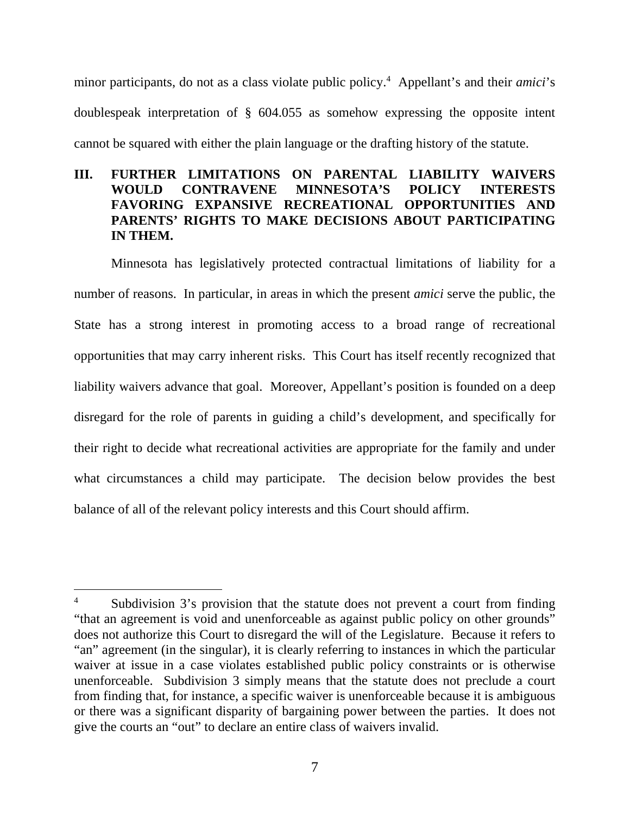minor participants, do not as a class violate public policy.<sup>4</sup> Appellant's and their *amici*'s doublespeak interpretation of § 604.055 as somehow expressing the opposite intent cannot be squared with either the plain language or the drafting history of the statute.

## **III. FURTHER LIMITATIONS ON PARENTAL LIABILITY WAIVERS WOULD CONTRAVENE MINNESOTA'S POLICY INTERESTS FAVORING EXPANSIVE RECREATIONAL OPPORTUNITIES AND PARENTS' RIGHTS TO MAKE DECISIONS ABOUT PARTICIPATING IN THEM.**

Minnesota has legislatively protected contractual limitations of liability for a number of reasons. In particular, in areas in which the present *amici* serve the public, the State has a strong interest in promoting access to a broad range of recreational opportunities that may carry inherent risks. This Court has itself recently recognized that liability waivers advance that goal. Moreover, Appellant's position is founded on a deep disregard for the role of parents in guiding a child's development, and specifically for their right to decide what recreational activities are appropriate for the family and under what circumstances a child may participate. The decision below provides the best balance of all of the relevant policy interests and this Court should affirm.

Subdivision 3's provision that the statute does not prevent a court from finding "that an agreement is void and unenforceable as against public policy on other grounds" does not authorize this Court to disregard the will of the Legislature. Because it refers to "an" agreement (in the singular), it is clearly referring to instances in which the particular waiver at issue in a case violates established public policy constraints or is otherwise unenforceable. Subdivision 3 simply means that the statute does not preclude a court from finding that, for instance, a specific waiver is unenforceable because it is ambiguous or there was a significant disparity of bargaining power between the parties. It does not give the courts an "out" to declare an entire class of waivers invalid.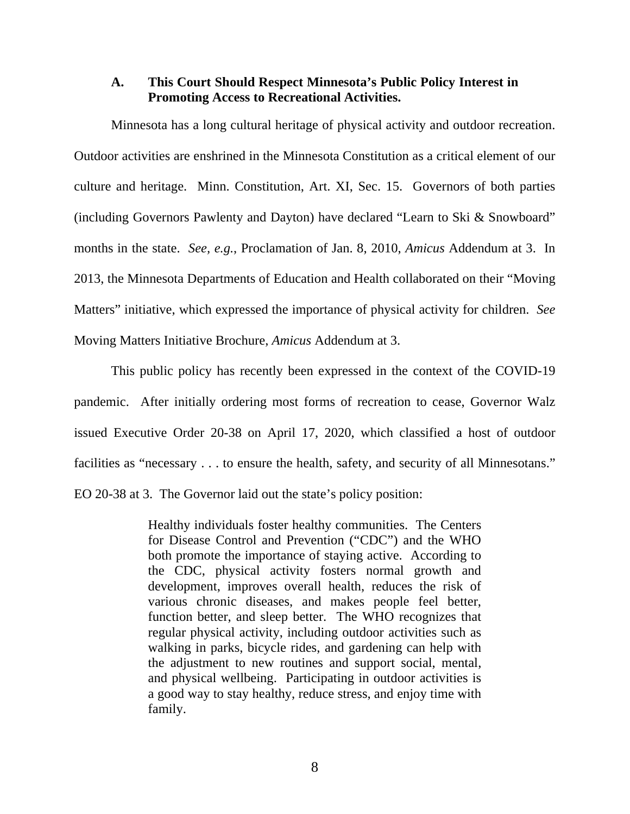### **A. This Court Should Respect Minnesota's Public Policy Interest in Promoting Access to Recreational Activities.**

Minnesota has a long cultural heritage of physical activity and outdoor recreation. Outdoor activities are enshrined in the Minnesota Constitution as a critical element of our culture and heritage. Minn. Constitution, Art. XI, Sec. 15. Governors of both parties (including Governors Pawlenty and Dayton) have declared "Learn to Ski & Snowboard" months in the state. *See, e.g.*, Proclamation of Jan. 8, 2010, *Amicus* Addendum at 3. In 2013, the Minnesota Departments of Education and Health collaborated on their "Moving Matters" initiative, which expressed the importance of physical activity for children. *See* Moving Matters Initiative Brochure, *Amicus* Addendum at 3.

This public policy has recently been expressed in the context of the COVID-19 pandemic. After initially ordering most forms of recreation to cease, Governor Walz issued Executive Order 20-38 on April 17, 2020, which classified a host of outdoor facilities as "necessary . . . to ensure the health, safety, and security of all Minnesotans." EO 20-38 at 3. The Governor laid out the state's policy position:

> Healthy individuals foster healthy communities. The Centers for Disease Control and Prevention ("CDC") and the WHO both promote the importance of staying active. According to the CDC, physical activity fosters normal growth and development, improves overall health, reduces the risk of various chronic diseases, and makes people feel better, function better, and sleep better. The WHO recognizes that regular physical activity, including outdoor activities such as walking in parks, bicycle rides, and gardening can help with the adjustment to new routines and support social, mental, and physical wellbeing. Participating in outdoor activities is a good way to stay healthy, reduce stress, and enjoy time with family.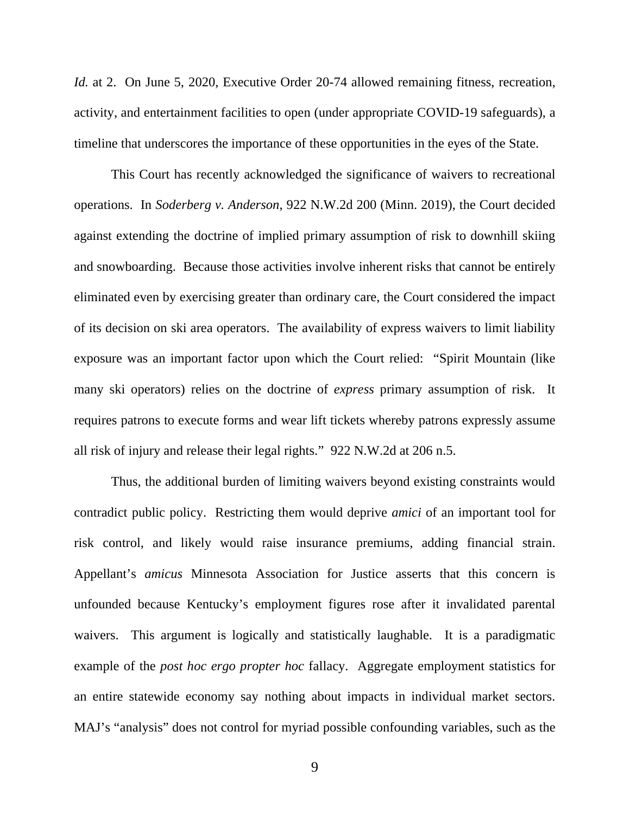*Id.* at 2. On June 5, 2020, Executive Order 20-74 allowed remaining fitness, recreation, activity, and entertainment facilities to open (under appropriate COVID-19 safeguards), a timeline that underscores the importance of these opportunities in the eyes of the State.

This Court has recently acknowledged the significance of waivers to recreational operations. In *Soderberg v. Anderson*, 922 N.W.2d 200 (Minn. 2019), the Court decided against extending the doctrine of implied primary assumption of risk to downhill skiing and snowboarding. Because those activities involve inherent risks that cannot be entirely eliminated even by exercising greater than ordinary care, the Court considered the impact of its decision on ski area operators. The availability of express waivers to limit liability exposure was an important factor upon which the Court relied: "Spirit Mountain (like many ski operators) relies on the doctrine of *express* primary assumption of risk. It requires patrons to execute forms and wear lift tickets whereby patrons expressly assume all risk of injury and release their legal rights." 922 N.W.2d at 206 n.5.

Thus, the additional burden of limiting waivers beyond existing constraints would contradict public policy. Restricting them would deprive *amici* of an important tool for risk control, and likely would raise insurance premiums, adding financial strain. Appellant's *amicus* Minnesota Association for Justice asserts that this concern is unfounded because Kentucky's employment figures rose after it invalidated parental waivers. This argument is logically and statistically laughable. It is a paradigmatic example of the *post hoc ergo propter hoc* fallacy. Aggregate employment statistics for an entire statewide economy say nothing about impacts in individual market sectors. MAJ's "analysis" does not control for myriad possible confounding variables, such as the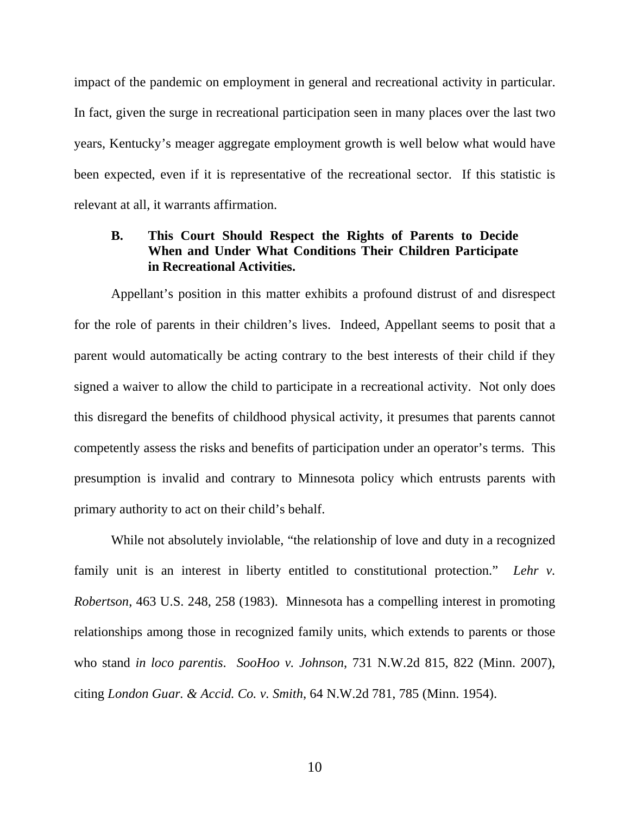impact of the pandemic on employment in general and recreational activity in particular. In fact, given the surge in recreational participation seen in many places over the last two years, Kentucky's meager aggregate employment growth is well below what would have been expected, even if it is representative of the recreational sector. If this statistic is relevant at all, it warrants affirmation.

## **B. This Court Should Respect the Rights of Parents to Decide When and Under What Conditions Their Children Participate in Recreational Activities.**

Appellant's position in this matter exhibits a profound distrust of and disrespect for the role of parents in their children's lives. Indeed, Appellant seems to posit that a parent would automatically be acting contrary to the best interests of their child if they signed a waiver to allow the child to participate in a recreational activity. Not only does this disregard the benefits of childhood physical activity, it presumes that parents cannot competently assess the risks and benefits of participation under an operator's terms. This presumption is invalid and contrary to Minnesota policy which entrusts parents with primary authority to act on their child's behalf.

While not absolutely inviolable, "the relationship of love and duty in a recognized family unit is an interest in liberty entitled to constitutional protection." *Lehr v. Robertson*, 463 U.S. 248, 258 (1983). Minnesota has a compelling interest in promoting relationships among those in recognized family units, which extends to parents or those who stand *in loco parentis*. *SooHoo v. Johnson*, 731 N.W.2d 815, 822 (Minn. 2007), citing *London Guar. & Accid. Co. v. Smith*, 64 N.W.2d 781, 785 (Minn. 1954).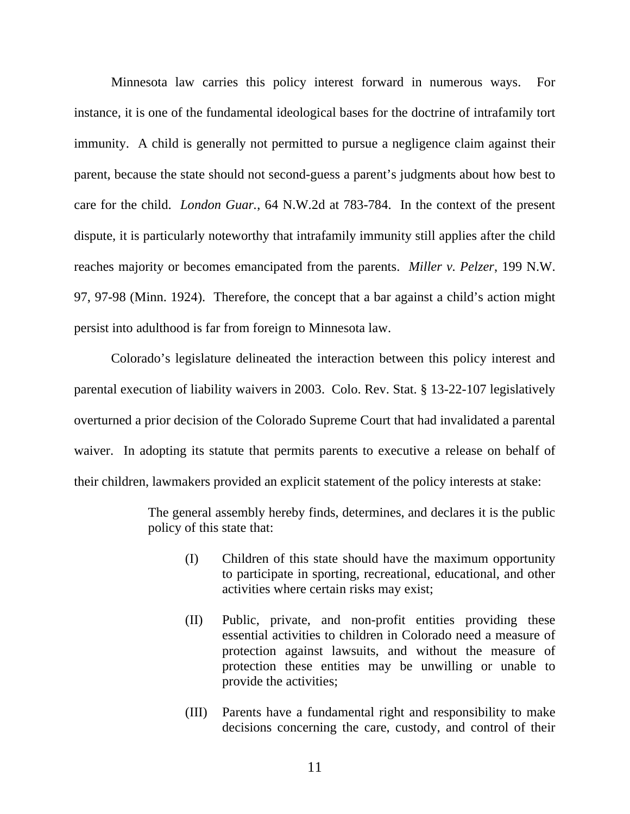Minnesota law carries this policy interest forward in numerous ways. For instance, it is one of the fundamental ideological bases for the doctrine of intrafamily tort immunity. A child is generally not permitted to pursue a negligence claim against their parent, because the state should not second-guess a parent's judgments about how best to care for the child. *London Guar.*, 64 N.W.2d at 783-784. In the context of the present dispute, it is particularly noteworthy that intrafamily immunity still applies after the child reaches majority or becomes emancipated from the parents. *Miller v. Pelzer*, 199 N.W. 97, 97-98 (Minn. 1924). Therefore, the concept that a bar against a child's action might persist into adulthood is far from foreign to Minnesota law.

Colorado's legislature delineated the interaction between this policy interest and parental execution of liability waivers in 2003. Colo. Rev. Stat. § 13-22-107 legislatively overturned a prior decision of the Colorado Supreme Court that had invalidated a parental waiver. In adopting its statute that permits parents to executive a release on behalf of their children, lawmakers provided an explicit statement of the policy interests at stake:

> The general assembly hereby finds, determines, and declares it is the public policy of this state that:

- (I) Children of this state should have the maximum opportunity to participate in sporting, recreational, educational, and other activities where certain risks may exist;
- (II) Public, private, and non-profit entities providing these essential activities to children in Colorado need a measure of protection against lawsuits, and without the measure of protection these entities may be unwilling or unable to provide the activities;
- (III) Parents have a fundamental right and responsibility to make decisions concerning the care, custody, and control of their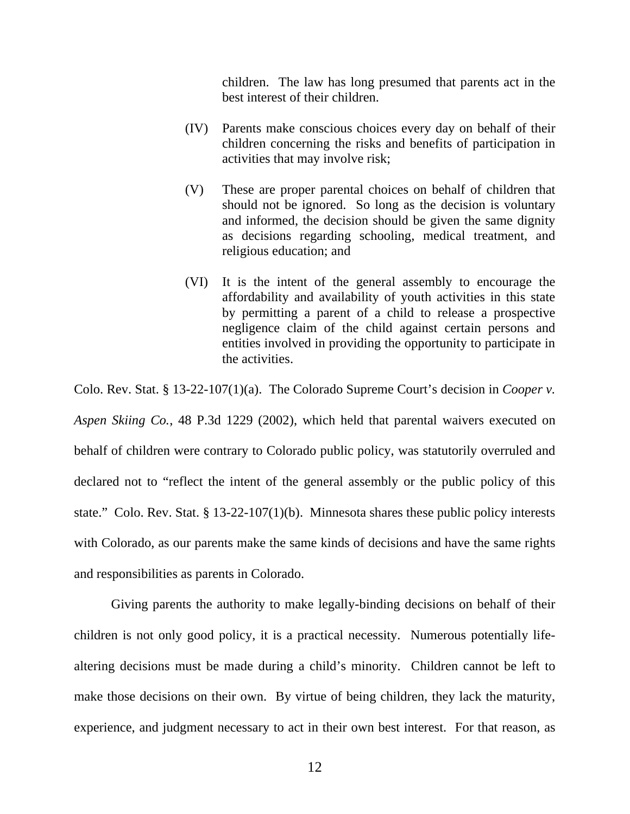children. The law has long presumed that parents act in the best interest of their children.

- (IV) Parents make conscious choices every day on behalf of their children concerning the risks and benefits of participation in activities that may involve risk;
- (V) These are proper parental choices on behalf of children that should not be ignored. So long as the decision is voluntary and informed, the decision should be given the same dignity as decisions regarding schooling, medical treatment, and religious education; and
- (VI) It is the intent of the general assembly to encourage the affordability and availability of youth activities in this state by permitting a parent of a child to release a prospective negligence claim of the child against certain persons and entities involved in providing the opportunity to participate in the activities.

Colo. Rev. Stat. § 13-22-107(1)(a). The Colorado Supreme Court's decision in *Cooper v. Aspen Skiing Co.*, 48 P.3d 1229 (2002), which held that parental waivers executed on behalf of children were contrary to Colorado public policy, was statutorily overruled and declared not to "reflect the intent of the general assembly or the public policy of this state." Colo. Rev. Stat. § 13-22-107(1)(b). Minnesota shares these public policy interests with Colorado, as our parents make the same kinds of decisions and have the same rights and responsibilities as parents in Colorado.

Giving parents the authority to make legally-binding decisions on behalf of their children is not only good policy, it is a practical necessity. Numerous potentially lifealtering decisions must be made during a child's minority. Children cannot be left to make those decisions on their own. By virtue of being children, they lack the maturity, experience, and judgment necessary to act in their own best interest. For that reason, as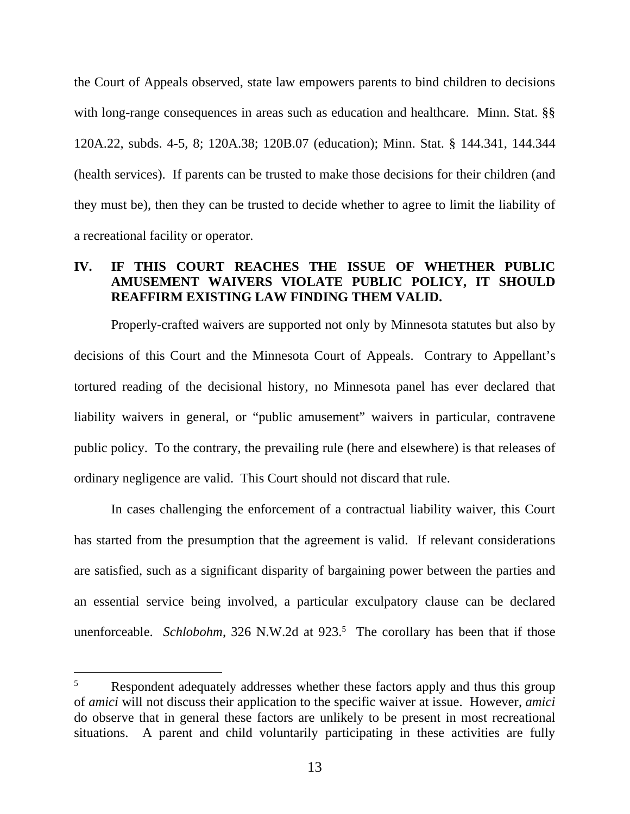the Court of Appeals observed, state law empowers parents to bind children to decisions with long-range consequences in areas such as education and healthcare. Minn. Stat. §§ 120A.22, subds. 4-5, 8; 120A.38; 120B.07 (education); Minn. Stat. § 144.341, 144.344 (health services). If parents can be trusted to make those decisions for their children (and they must be), then they can be trusted to decide whether to agree to limit the liability of a recreational facility or operator.

## **IV. IF THIS COURT REACHES THE ISSUE OF WHETHER PUBLIC AMUSEMENT WAIVERS VIOLATE PUBLIC POLICY, IT SHOULD REAFFIRM EXISTING LAW FINDING THEM VALID.**

Properly-crafted waivers are supported not only by Minnesota statutes but also by decisions of this Court and the Minnesota Court of Appeals. Contrary to Appellant's tortured reading of the decisional history, no Minnesota panel has ever declared that liability waivers in general, or "public amusement" waivers in particular, contravene public policy. To the contrary, the prevailing rule (here and elsewhere) is that releases of ordinary negligence are valid. This Court should not discard that rule.

In cases challenging the enforcement of a contractual liability waiver, this Court has started from the presumption that the agreement is valid. If relevant considerations are satisfied, such as a significant disparity of bargaining power between the parties and an essential service being involved, a particular exculpatory clause can be declared unenforceable. *Schlobohm*, 326 N.W.2d at 923.<sup>5</sup> The corollary has been that if those

<sup>&</sup>lt;sup>5</sup> Respondent adequately addresses whether these factors apply and thus this group of *amici* will not discuss their application to the specific waiver at issue. However, *amici* do observe that in general these factors are unlikely to be present in most recreational situations. A parent and child voluntarily participating in these activities are fully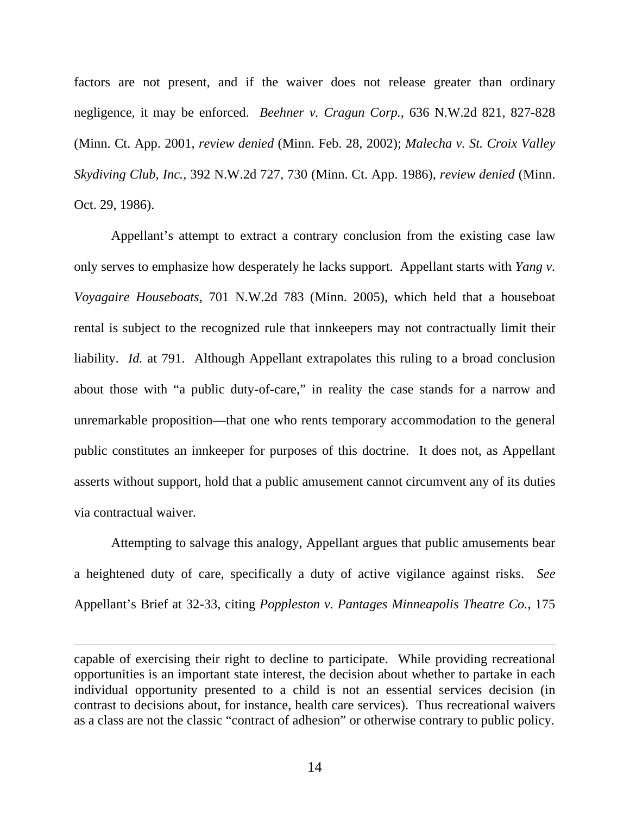factors are not present, and if the waiver does not release greater than ordinary negligence, it may be enforced. *Beehner v. Cragun Corp.*, 636 N.W.2d 821, 827-828 (Minn. Ct. App. 2001, *review denied* (Minn. Feb. 28, 2002); *Malecha v. St. Croix Valley Skydiving Club, Inc.*, 392 N.W.2d 727, 730 (Minn. Ct. App. 1986), *review denied* (Minn. Oct. 29, 1986).

Appellant's attempt to extract a contrary conclusion from the existing case law only serves to emphasize how desperately he lacks support. Appellant starts with *Yang v. Voyagaire Houseboats*, 701 N.W.2d 783 (Minn. 2005), which held that a houseboat rental is subject to the recognized rule that innkeepers may not contractually limit their liability. *Id.* at 791. Although Appellant extrapolates this ruling to a broad conclusion about those with "a public duty-of-care," in reality the case stands for a narrow and unremarkable proposition—that one who rents temporary accommodation to the general public constitutes an innkeeper for purposes of this doctrine. It does not, as Appellant asserts without support, hold that a public amusement cannot circumvent any of its duties via contractual waiver.

Attempting to salvage this analogy, Appellant argues that public amusements bear a heightened duty of care, specifically a duty of active vigilance against risks. *See* Appellant's Brief at 32-33, citing *Poppleston v. Pantages Minneapolis Theatre Co.*, 175

capable of exercising their right to decline to participate. While providing recreational opportunities is an important state interest, the decision about whether to partake in each individual opportunity presented to a child is not an essential services decision (in contrast to decisions about, for instance, health care services). Thus recreational waivers as a class are not the classic "contract of adhesion" or otherwise contrary to public policy.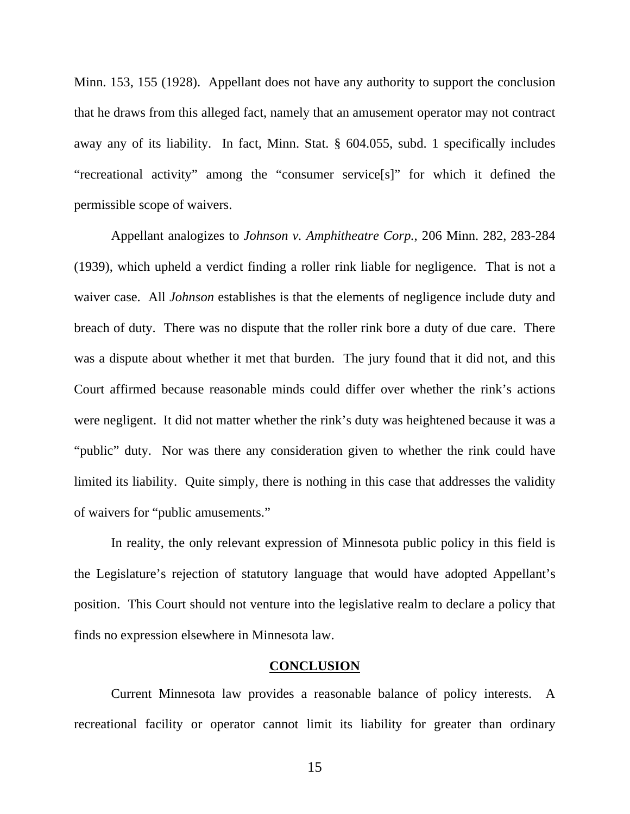Minn. 153, 155 (1928). Appellant does not have any authority to support the conclusion that he draws from this alleged fact, namely that an amusement operator may not contract away any of its liability. In fact, Minn. Stat. § 604.055, subd. 1 specifically includes "recreational activity" among the "consumer service[s]" for which it defined the permissible scope of waivers.

Appellant analogizes to *Johnson v. Amphitheatre Corp.*, 206 Minn. 282, 283-284 (1939), which upheld a verdict finding a roller rink liable for negligence. That is not a waiver case. All *Johnson* establishes is that the elements of negligence include duty and breach of duty. There was no dispute that the roller rink bore a duty of due care. There was a dispute about whether it met that burden. The jury found that it did not, and this Court affirmed because reasonable minds could differ over whether the rink's actions were negligent. It did not matter whether the rink's duty was heightened because it was a "public" duty. Nor was there any consideration given to whether the rink could have limited its liability. Quite simply, there is nothing in this case that addresses the validity of waivers for "public amusements."

In reality, the only relevant expression of Minnesota public policy in this field is the Legislature's rejection of statutory language that would have adopted Appellant's position. This Court should not venture into the legislative realm to declare a policy that finds no expression elsewhere in Minnesota law.

#### **CONCLUSION**

Current Minnesota law provides a reasonable balance of policy interests. A recreational facility or operator cannot limit its liability for greater than ordinary

15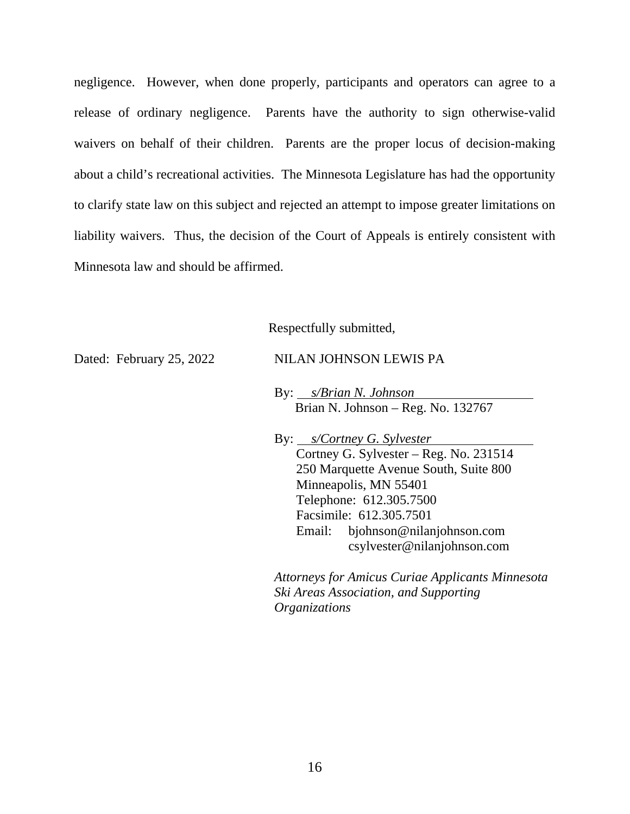negligence. However, when done properly, participants and operators can agree to a release of ordinary negligence. Parents have the authority to sign otherwise-valid waivers on behalf of their children. Parents are the proper locus of decision-making about a child's recreational activities. The Minnesota Legislature has had the opportunity to clarify state law on this subject and rejected an attempt to impose greater limitations on liability waivers. Thus, the decision of the Court of Appeals is entirely consistent with Minnesota law and should be affirmed.

Respectfully submitted,

Dated: February 25, 2022 NILAN JOHNSON LEWIS PA

By: *s/Brian N. Johnson* Brian N. Johnson – Reg. No. 132767

By: *s/Cortney G. Sylvester* Cortney G. Sylvester – Reg. No. 231514 250 Marquette Avenue South, Suite 800 Minneapolis, MN 55401 Telephone: 612.305.7500 Facsimile: 612.305.7501 Email: bjohnson@nilanjohnson.com csylvester@nilanjohnson.com

*Attorneys for Amicus Curiae Applicants Minnesota Ski Areas Association, and Supporting Organizations*